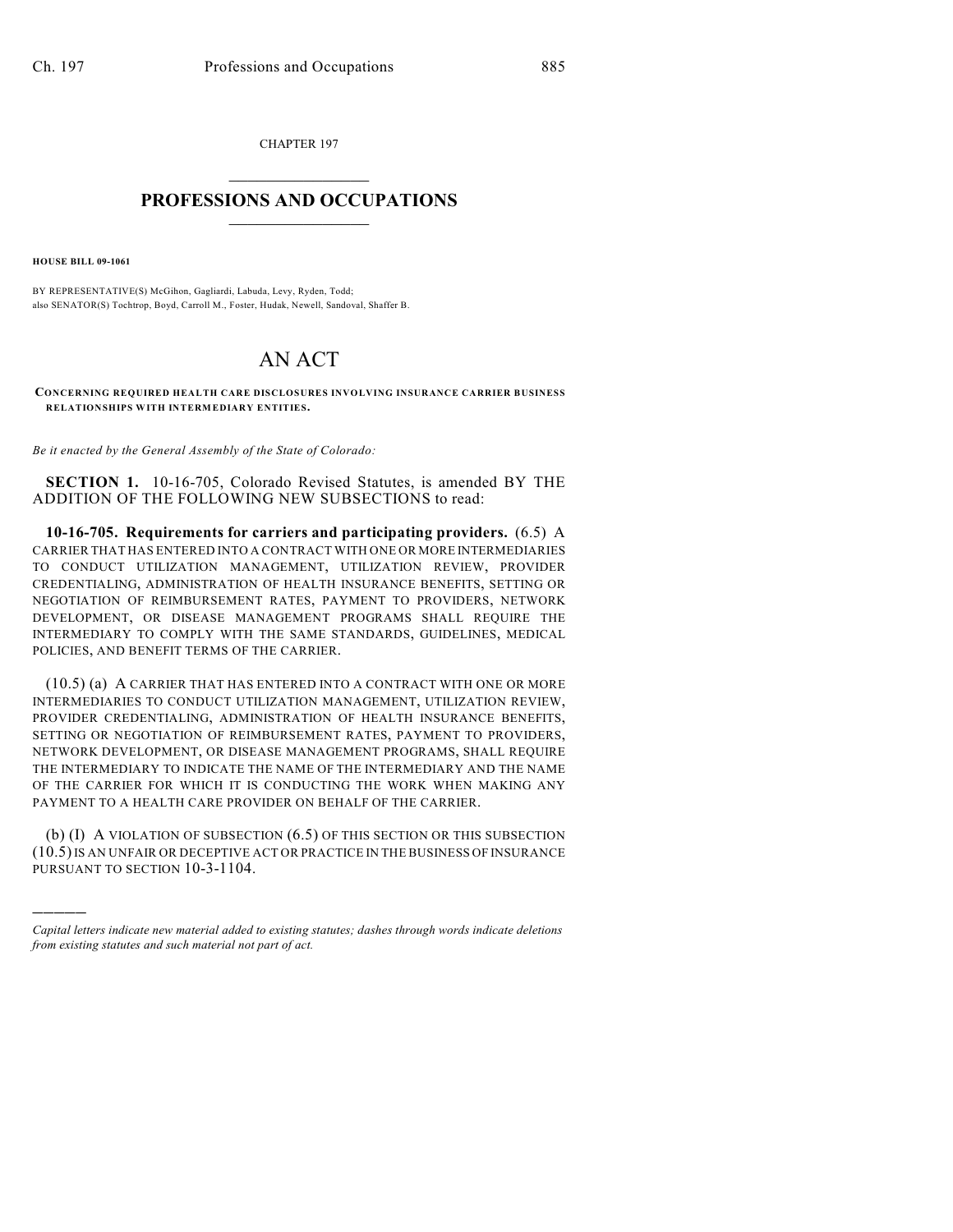CHAPTER 197  $\mathcal{L}_\text{max}$  . The set of the set of the set of the set of the set of the set of the set of the set of the set of the set of the set of the set of the set of the set of the set of the set of the set of the set of the set

## **PROFESSIONS AND OCCUPATIONS**  $\frac{1}{2}$  ,  $\frac{1}{2}$  ,  $\frac{1}{2}$  ,  $\frac{1}{2}$  ,  $\frac{1}{2}$  ,  $\frac{1}{2}$

**HOUSE BILL 09-1061**

)))))

BY REPRESENTATIVE(S) McGihon, Gagliardi, Labuda, Levy, Ryden, Todd; also SENATOR(S) Tochtrop, Boyd, Carroll M., Foster, Hudak, Newell, Sandoval, Shaffer B.

## AN ACT

**CONCERNING REQUIRED HEALTH CARE DISCLOSURES INVOLVING INSURANCE CARRIER BUSINESS RELATIONSHIPS WITH INTERMEDIARY ENTITIES.**

*Be it enacted by the General Assembly of the State of Colorado:*

**SECTION 1.** 10-16-705, Colorado Revised Statutes, is amended BY THE ADDITION OF THE FOLLOWING NEW SUBSECTIONS to read:

**10-16-705. Requirements for carriers and participating providers.** (6.5) A CARRIER THAT HAS ENTERED INTO A CONTRACT WITH ONE OR MORE INTERMEDIARIES TO CONDUCT UTILIZATION MANAGEMENT, UTILIZATION REVIEW, PROVIDER CREDENTIALING, ADMINISTRATION OF HEALTH INSURANCE BENEFITS, SETTING OR NEGOTIATION OF REIMBURSEMENT RATES, PAYMENT TO PROVIDERS, NETWORK DEVELOPMENT, OR DISEASE MANAGEMENT PROGRAMS SHALL REQUIRE THE INTERMEDIARY TO COMPLY WITH THE SAME STANDARDS, GUIDELINES, MEDICAL POLICIES, AND BENEFIT TERMS OF THE CARRIER.

(10.5) (a) A CARRIER THAT HAS ENTERED INTO A CONTRACT WITH ONE OR MORE INTERMEDIARIES TO CONDUCT UTILIZATION MANAGEMENT, UTILIZATION REVIEW, PROVIDER CREDENTIALING, ADMINISTRATION OF HEALTH INSURANCE BENEFITS, SETTING OR NEGOTIATION OF REIMBURSEMENT RATES, PAYMENT TO PROVIDERS, NETWORK DEVELOPMENT, OR DISEASE MANAGEMENT PROGRAMS, SHALL REQUIRE THE INTERMEDIARY TO INDICATE THE NAME OF THE INTERMEDIARY AND THE NAME OF THE CARRIER FOR WHICH IT IS CONDUCTING THE WORK WHEN MAKING ANY PAYMENT TO A HEALTH CARE PROVIDER ON BEHALF OF THE CARRIER.

(b) (I) A VIOLATION OF SUBSECTION (6.5) OF THIS SECTION OR THIS SUBSECTION (10.5) IS AN UNFAIR OR DECEPTIVE ACT OR PRACTICE IN THE BUSINESS OF INSURANCE PURSUANT TO SECTION 10-3-1104.

*Capital letters indicate new material added to existing statutes; dashes through words indicate deletions from existing statutes and such material not part of act.*